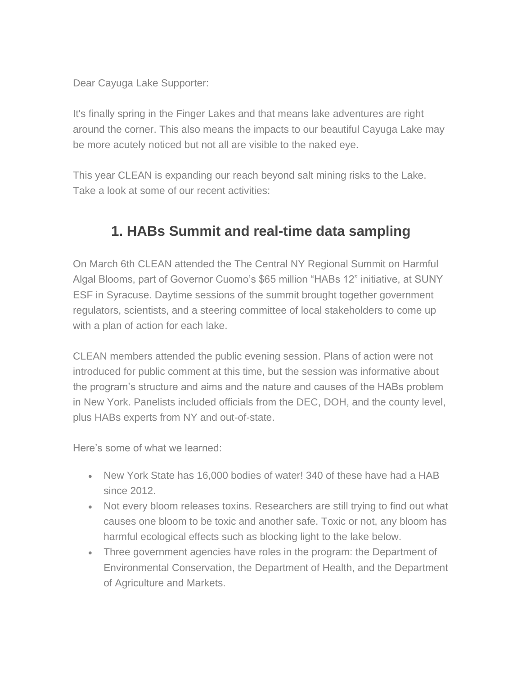Dear Cayuga Lake Supporter:

It's finally spring in the Finger Lakes and that means lake adventures are right around the corner. This also means the impacts to our beautiful Cayuga Lake may be more acutely noticed but not all are visible to the naked eye.

This year CLEAN is expanding our reach beyond salt mining risks to the Lake. Take a look at some of our recent activities:

## **1. HABs Summit and real-time data sampling**

On March 6th CLEAN attended the The Central NY Regional Summit on Harmful Algal Blooms, part of Governor Cuomo's \$65 million "HABs 12" initiative, at SUNY ESF in Syracuse. Daytime sessions of the summit brought together government regulators, scientists, and a steering committee of local stakeholders to come up with a plan of action for each lake.

CLEAN members attended the public evening session. Plans of action were not introduced for public comment at this time, but the session was informative about the program's structure and aims and the nature and causes of the HABs problem in New York. Panelists included officials from the DEC, DOH, and the county level, plus HABs experts from NY and out-of-state.

Here's some of what we learned:

- New York State has 16,000 bodies of water! 340 of these have had a HAB since 2012.
- Not every bloom releases toxins. Researchers are still trying to find out what causes one bloom to be toxic and another safe. Toxic or not, any bloom has harmful ecological effects such as blocking light to the lake below.
- Three government agencies have roles in the program: the Department of Environmental Conservation, the Department of Health, and the Department of Agriculture and Markets.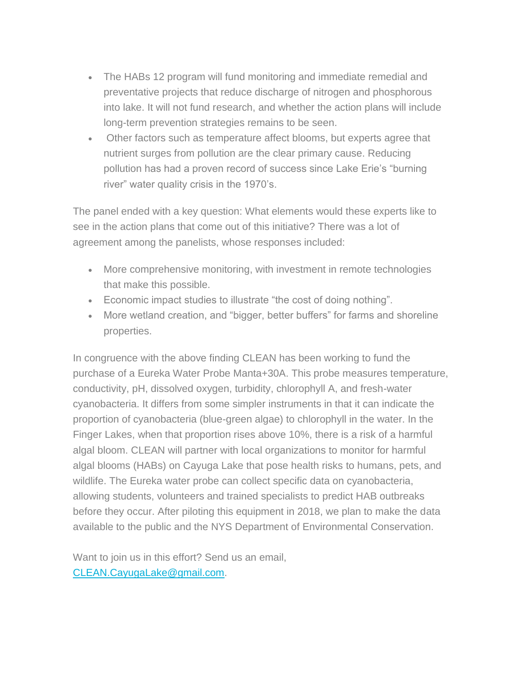- The HABs 12 program will fund monitoring and immediate remedial and preventative projects that reduce discharge of nitrogen and phosphorous into lake. It will not fund research, and whether the action plans will include long-term prevention strategies remains to be seen.
- Other factors such as temperature affect blooms, but experts agree that nutrient surges from pollution are the clear primary cause. Reducing pollution has had a proven record of success since Lake Erie's "burning river" water quality crisis in the 1970's.

The panel ended with a key question: What elements would these experts like to see in the action plans that come out of this initiative? There was a lot of agreement among the panelists, whose responses included:

- More comprehensive monitoring, with investment in remote technologies that make this possible.
- Economic impact studies to illustrate "the cost of doing nothing".
- More wetland creation, and "bigger, better buffers" for farms and shoreline properties.

In congruence with the above finding CLEAN has been working to fund the purchase of a Eureka Water Probe Manta+30A. This probe measures temperature, conductivity, pH, dissolved oxygen, turbidity, chlorophyll A, and fresh-water cyanobacteria. It differs from some simpler instruments in that it can indicate the proportion of cyanobacteria (blue-green algae) to chlorophyll in the water. In the Finger Lakes, when that proportion rises above 10%, there is a risk of a harmful algal bloom. CLEAN will partner with local organizations to monitor for harmful algal blooms (HABs) on Cayuga Lake that pose health risks to humans, pets, and wildlife. The Eureka water probe can collect specific data on cyanobacteria, allowing students, volunteers and trained specialists to predict HAB outbreaks before they occur. After piloting this equipment in 2018, we plan to make the data available to the public and the NYS Department of Environmental Conservation.

Want to join us in this effort? Send us an email, [CLEAN.CayugaLake@gmail.com.](mailto:CLEAN.CayugaLake@gmail.com)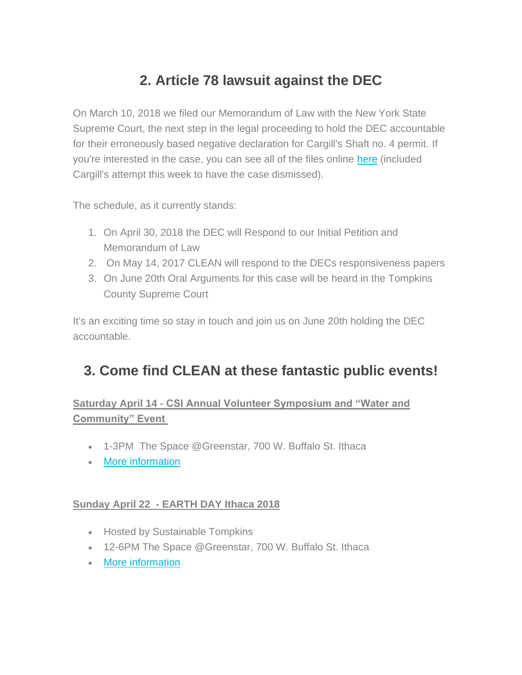## **2. Article 78 lawsuit against the DEC**

On March 10, 2018 we filed our Memorandum of Law with the New York State Supreme Court, the next step in the legal proceeding to hold the DEC accountable for their erroneously based negative declaration for Cargill's Shaft no. 4 permit. If you're interested in the case, you can see all of the files online [here](https://iapps.courts.state.ny.us/nyscef/DocumentList?docketId=XXKA/fHyz8iqtbOb8XYwIg==&display=all&courtType=Tompkins%20County%20Supreme%20Court&resultsPageNum=1) (included Cargill's attempt this week to have the case dismissed).

The schedule, as it currently stands:

- 1. On April 30, 2018 the DEC will Respond to our Initial Petition and Memorandum of Law
- 2. On May 14, 2017 CLEAN will respond to the DECs responsiveness papers
- 3. On June 20th Oral Arguments for this case will be heard in the Tompkins County Supreme Court

It's an exciting time so stay in touch and join us on June 20th holding the DEC accountable.

## **3. Come find CLEAN at these fantastic public events!**

### **Saturday April 14 - CSI Annual Volunteer Symposium and "Water and Community" Event**

- 1-3PM The Space @Greenstar, 700 W. Buffalo St. Ithaca
- [More information](http://www.communityscience.org/2018/03/27/csi-annual-volunteer-symposium-and-water-and-community-event-saturday-april-14th/)

#### **Sunday April 22 - EARTH DAY Ithaca 2018**

- Hosted by Sustainable Tompkins
- 12-6PM The Space @Greenstar, 700 W. Buffalo St. Ithaca
- [More information](https://sustainabletompkins.org/signs-of-sustainability/tompkins-weekly-column/earth-day-ithaca-2018/)